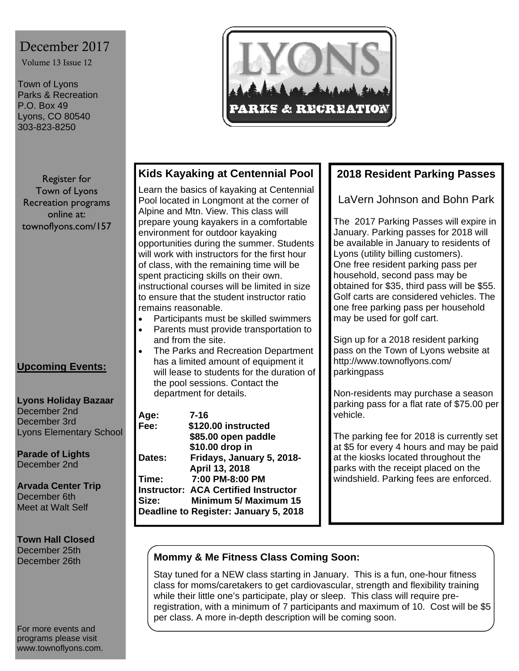# December 2017

Volume 13 Issue 12

Town of Lyons Parks & Recreation P.O. Box 49 Lyons, CO 80540 303-823-8250



#### Register for Town of Lyons Recreation programs online at: townoflyons.com/157

### **Upcoming Events:**

#### **Lyons Holiday Bazaar**  December 2nd December 3rd Lyons Elementary School

**Parade of Lights**  December 2nd

**Arvada Center Trip**  December 6th Meet at Walt Self

**Town Hall Closed**  December 25th December 26th

For more events and programs please visit www.townoflyons.com.

## **Kids Kayaking at Centennial Pool**

Learn the basics of kayaking at Centennial Pool located in Longmont at the corner of Alpine and Mtn. View. This class will prepare young kayakers in a comfortable environment for outdoor kayaking opportunities during the summer. Students will work with instructors for the first hour of class, with the remaining time will be spent practicing skills on their own. instructional courses will be limited in size to ensure that the student instructor ratio remains reasonable.

- Participants must be skilled swimmers
- Parents must provide transportation to and from the site.
- The Parks and Recreation Department has a limited amount of equipment it will lease to students for the duration of the pool sessions. Contact the department for details.

| Age:   | 7-16                                        |
|--------|---------------------------------------------|
| Fee:   | \$120.00 instructed                         |
|        | \$85.00 open paddle                         |
|        | \$10.00 drop in                             |
| Dates: | Fridays, January 5, 2018-                   |
|        | April 13, 2018                              |
| Time:  | 7:00 PM-8:00 PM                             |
|        | <b>Instructor: ACA Certified Instructor</b> |
| Size:  | <b>Minimum 5/ Maximum 15</b>                |
|        | Deadline to Register: January 5, 2018       |

## **2018 Resident Parking Passes**

LaVern Johnson and Bohn Park

The 2017 Parking Passes will expire in January. Parking passes for 2018 will be available in January to residents of Lyons (utility billing customers). One free resident parking pass per household, second pass may be obtained for \$35, third pass will be \$55. Golf carts are considered vehicles. The one free parking pass per household may be used for golf cart.

Sign up for a 2018 resident parking pass on the Town of Lyons website at http://www.townoflyons.com/ parkingpass

Non-residents may purchase a season parking pass for a flat rate of \$75.00 per vehicle.

The parking fee for 2018 is currently set at \$5 for every 4 hours and may be paid at the kiosks located throughout the parks with the receipt placed on the windshield. Parking fees are enforced.

### **Mommy & Me Fitness Class Coming Soon:**

Stay tuned for a NEW class starting in January. This is a fun, one-hour fitness class for moms/caretakers to get cardiovascular, strength and flexibility training while their little one's participate, play or sleep. This class will require preregistration, with a minimum of 7 participants and maximum of 10. Cost will be \$5 per class. A more in-depth description will be coming soon.